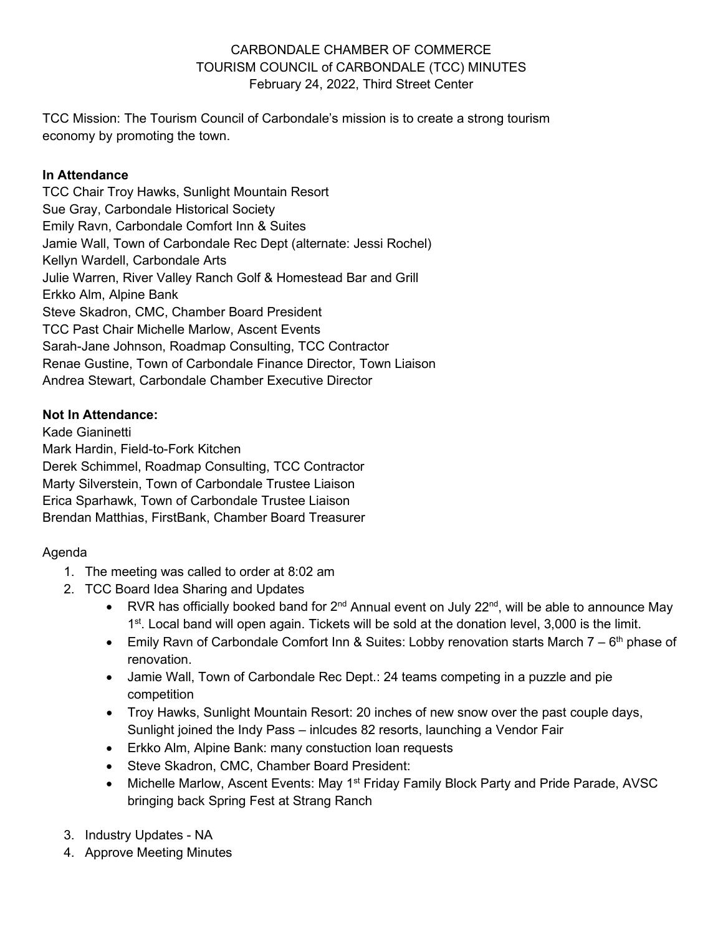## CARBONDALE CHAMBER OF COMMERCE TOURISM COUNCIL of CARBONDALE (TCC) MINUTES February 24, 2022, Third Street Center

TCC Mission: The Tourism Council of Carbondale's mission is to create a strong tourism economy by promoting the town.

### **In Attendance**

TCC Chair Troy Hawks, Sunlight Mountain Resort Sue Gray, Carbondale Historical Society Emily Ravn, Carbondale Comfort Inn & Suites Jamie Wall, Town of Carbondale Rec Dept (alternate: Jessi Rochel) Kellyn Wardell, Carbondale Arts Julie Warren, River Valley Ranch Golf & Homestead Bar and Grill Erkko Alm, Alpine Bank Steve Skadron, CMC, Chamber Board President TCC Past Chair Michelle Marlow, Ascent Events Sarah-Jane Johnson, Roadmap Consulting, TCC Contractor Renae Gustine, Town of Carbondale Finance Director, Town Liaison Andrea Stewart, Carbondale Chamber Executive Director

## **Not In Attendance:**

Kade Gianinetti Mark Hardin, Field-to-Fork Kitchen Derek Schimmel, Roadmap Consulting, TCC Contractor Marty Silverstein, Town of Carbondale Trustee Liaison Erica Sparhawk, Town of Carbondale Trustee Liaison Brendan Matthias, FirstBank, Chamber Board Treasurer

# Agenda

- 1. The meeting was called to order at 8:02 am
- 2. TCC Board Idea Sharing and Updates
	- RVR has officially booked band for  $2^{nd}$  Annual event on July  $22^{nd}$ , will be able to announce May 1<sup>st</sup>. Local band will open again. Tickets will be sold at the donation level, 3,000 is the limit.
	- Emily Ravn of Carbondale Comfort Inn & Suites: Lobby renovation starts March  $7 6<sup>th</sup>$  phase of renovation.
	- Jamie Wall, Town of Carbondale Rec Dept.: 24 teams competing in a puzzle and pie competition
	- Troy Hawks, Sunlight Mountain Resort: 20 inches of new snow over the past couple days, Sunlight joined the Indy Pass – inlcudes 82 resorts, launching a Vendor Fair
	- Erkko Alm, Alpine Bank: many constuction loan requests
	- Steve Skadron, CMC, Chamber Board President:
	- Michelle Marlow, Ascent Events: May 1<sup>st</sup> Friday Family Block Party and Pride Parade, AVSC bringing back Spring Fest at Strang Ranch
- 3. Industry Updates NA
- 4. Approve Meeting Minutes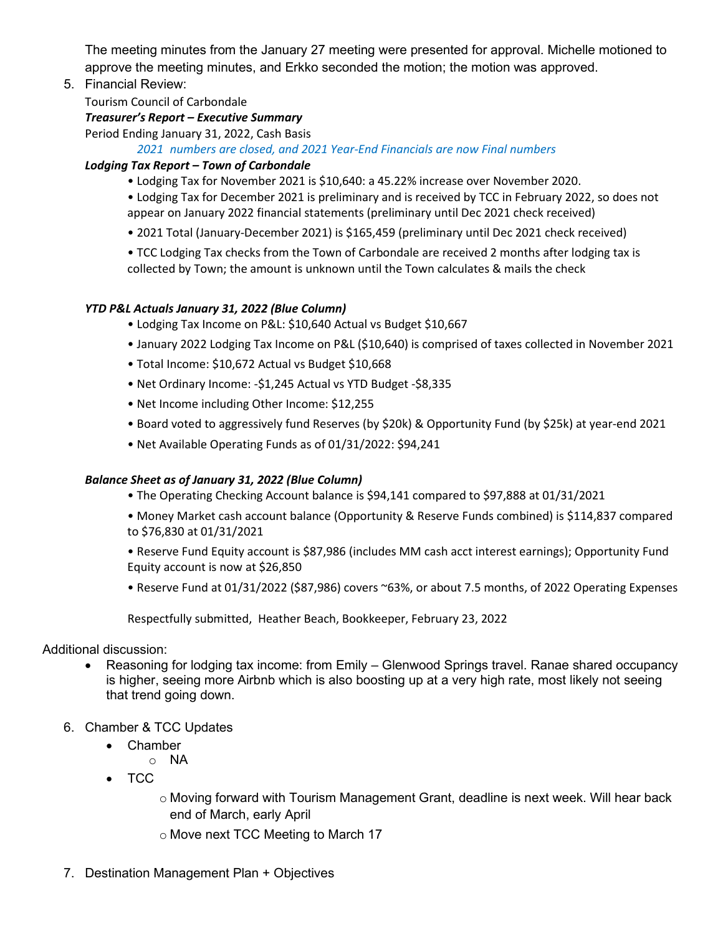The meeting minutes from the January 27 meeting were presented for approval. Michelle motioned to approve the meeting minutes, and Erkko seconded the motion; the motion was approved.

5. Financial Review:

Tourism Council of Carbondale

### *Treasurer's Report – Executive Summary*

Period Ending January 31, 2022, Cash Basis

*2021 numbers are closed, and 2021 Year-End Financials are now Final numbers* 

#### *Lodging Tax Report – Town of Carbondale*

• Lodging Tax for November 2021 is \$10,640: a 45.22% increase over November 2020.

• Lodging Tax for December 2021 is preliminary and is received by TCC in February 2022, so does not appear on January 2022 financial statements (preliminary until Dec 2021 check received)

- 2021 Total (January-December 2021) is \$165,459 (preliminary until Dec 2021 check received)
- TCC Lodging Tax checks from the Town of Carbondale are received 2 months after lodging tax is collected by Town; the amount is unknown until the Town calculates & mails the check

#### *YTD P&L Actuals January 31, 2022 (Blue Column)*

- Lodging Tax Income on P&L: \$10,640 Actual vs Budget \$10,667
- January 2022 Lodging Tax Income on P&L (\$10,640) is comprised of taxes collected in November 2021
- Total Income: \$10,672 Actual vs Budget \$10,668
- Net Ordinary Income: -\$1,245 Actual vs YTD Budget -\$8,335
- Net Income including Other Income: \$12,255
- Board voted to aggressively fund Reserves (by \$20k) & Opportunity Fund (by \$25k) at year-end 2021
- Net Available Operating Funds as of 01/31/2022: \$94,241

#### *Balance Sheet as of January 31, 2022 (Blue Column)*

- The Operating Checking Account balance is \$94,141 compared to \$97,888 at 01/31/2021
- Money Market cash account balance (Opportunity & Reserve Funds combined) is \$114,837 compared to \$76,830 at 01/31/2021
- Reserve Fund Equity account is \$87,986 (includes MM cash acct interest earnings); Opportunity Fund Equity account is now at \$26,850
- Reserve Fund at 01/31/2022 (\$87,986) covers ~63%, or about 7.5 months, of 2022 Operating Expenses

Respectfully submitted, Heather Beach, Bookkeeper, February 23, 2022

Additional discussion:

- Reasoning for lodging tax income: from Emily Glenwood Springs travel. Ranae shared occupancy is higher, seeing more Airbnb which is also boosting up at a very high rate, most likely not seeing that trend going down.
- 6. Chamber & TCC Updates
	- Chamber
		- o NA
	- TCC
		- o Moving forward with Tourism Management Grant, deadline is next week. Will hear back end of March, early April
		- o Move next TCC Meeting to March 17
- 7. Destination Management Plan + Objectives